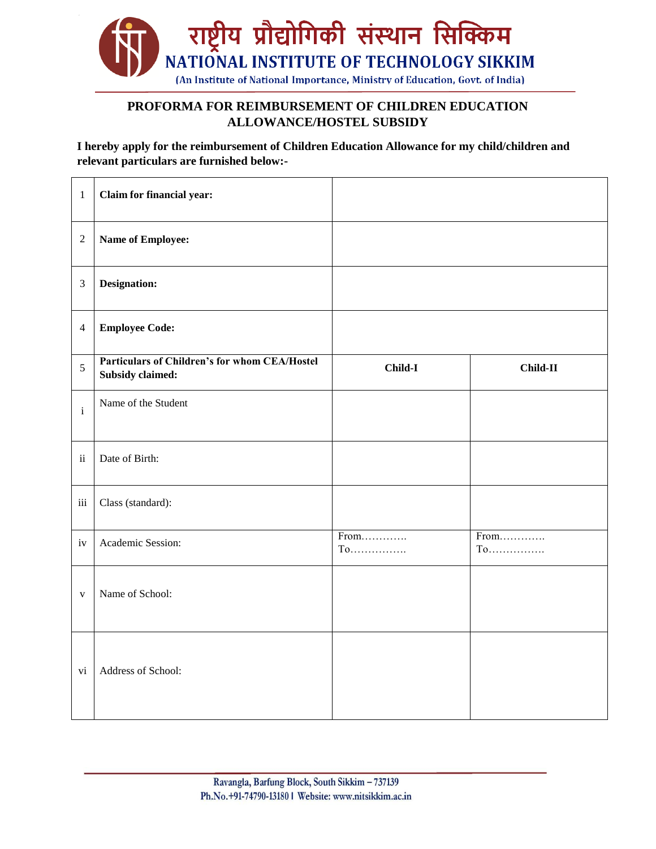

## **PROFORMA FOR REIMBURSEMENT OF CHILDREN EDUCATION ALLOWANCE/HOSTEL SUBSIDY**

**I hereby apply for the reimbursement of Children Education Allowance for my child/children and relevant particulars are furnished below:-**

| $\mathbf{1}$   | Claim for financial year:                                                |              |              |
|----------------|--------------------------------------------------------------------------|--------------|--------------|
| $\sqrt{2}$     | Name of Employee:                                                        |              |              |
| $\mathfrak{Z}$ | Designation:                                                             |              |              |
| $\overline{4}$ | <b>Employee Code:</b>                                                    |              |              |
| 5              | Particulars of Children's for whom CEA/Hostel<br><b>Subsidy claimed:</b> | Child-I      | Child-II     |
| $\rm i$        | Name of the Student                                                      |              |              |
| $\rm ii$       | Date of Birth:                                                           |              |              |
| $\rm iii$      | Class (standard):                                                        |              |              |
| iv             | Academic Session:                                                        | From<br>$To$ | From<br>$To$ |
| $\mathbf{V}$   | Name of School:                                                          |              |              |
| vi             | Address of School:                                                       |              |              |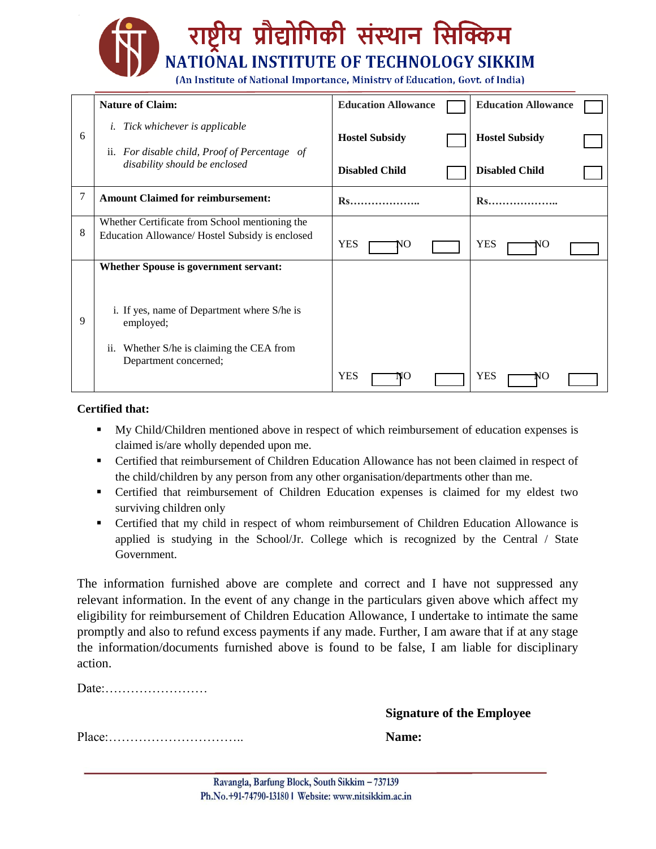## प्रौद्योगिकी संस्थान सिक्किम **NATIONAL INSTITUTE OF TECHNOLOGY SIKKIM** (An Institute of National Importance, Ministry of Education, Govt. of India)

|   | <b>Nature of Claim:</b>                                                                                                  | <b>Education Allowance</b> | <b>Education Allowance</b> |
|---|--------------------------------------------------------------------------------------------------------------------------|----------------------------|----------------------------|
| 6 | <i>i.</i> Tick whichever is applicable<br>ii. For disable child, Proof of Percentage of<br>disability should be enclosed | <b>Hostel Subsidy</b>      | <b>Hostel Subsidy</b>      |
|   |                                                                                                                          | <b>Disabled Child</b>      | <b>Disabled Child</b>      |
| 7 | <b>Amount Claimed for reimbursement:</b>                                                                                 | <b>R</b> s                 | <b>Rs</b>                  |
| 8 | Whether Certificate from School mentioning the<br>Education Allowance/ Hostel Subsidy is enclosed                        | <b>YES</b><br>NO           | <b>YES</b><br>NO           |
| 9 | Whether Spouse is government servant:                                                                                    |                            |                            |
|   | i. If yes, name of Department where S/he is<br>employed;                                                                 |                            |                            |
|   | Whether S/he is claiming the CEA from<br>ii.<br>Department concerned;                                                    |                            |                            |
|   |                                                                                                                          | <b>YES</b>                 | <b>YES</b><br>NO           |

## **Certified that:**

- My Child/Children mentioned above in respect of which reimbursement of education expenses is claimed is/are wholly depended upon me.
- Certified that reimbursement of Children Education Allowance has not been claimed in respect of the child/children by any person from any other organisation/departments other than me.
- Certified that reimbursement of Children Education expenses is claimed for my eldest two surviving children only
- Certified that my child in respect of whom reimbursement of Children Education Allowance is applied is studying in the School/Jr. College which is recognized by the Central / State Government.

The information furnished above are complete and correct and I have not suppressed any relevant information. In the event of any change in the particulars given above which affect my eligibility for reimbursement of Children Education Allowance, I undertake to intimate the same promptly and also to refund excess payments if any made. Further, I am aware that if at any stage the information/documents furnished above is found to be false, I am liable for disciplinary action.

Date:……………………

**Signature of the Employee**

Place:………………………….. **Name:**